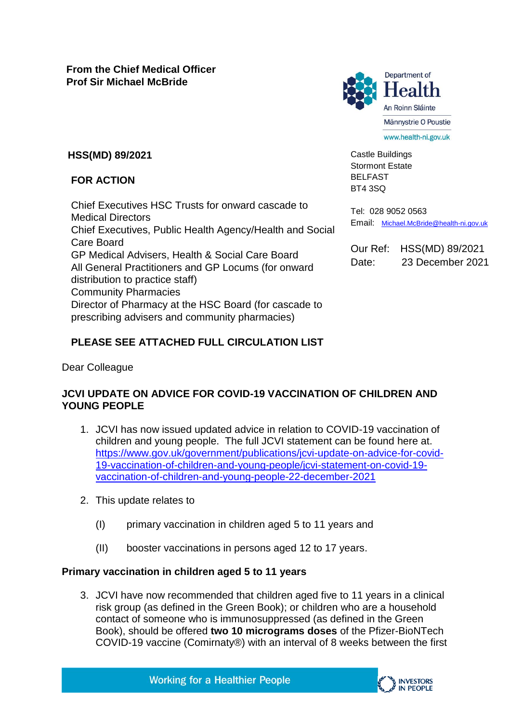

Castle Buildings Stormont Estate BELFAST BT4 3SQ

# **HSS(MD) 89/2021**

## **FOR ACTION**

Chief Executives HSC Trusts for onward cascade to Medical Directors Chief Executives, Public Health Agency/Health and Social Care Board GP Medical Advisers, Health & Social Care Board All General Practitioners and GP Locums (for onward distribution to practice staff) Community Pharmacies Director of Pharmacy at the HSC Board (for cascade to prescribing advisers and community pharmacies)

Tel: 028 9052 0563 Email: [Michael.McBride@health-ni.gov.uk](mailto:Michael.McBride@health-ni.gov.uk)

Our Ref: HSS(MD) 89/2021 Date: 23 December 2021

## **PLEASE SEE ATTACHED FULL CIRCULATION LIST**

Dear Colleague

## **JCVI UPDATE ON ADVICE FOR COVID-19 VACCINATION OF CHILDREN AND YOUNG PEOPLE**

- 1. JCVI has now issued updated advice in relation to COVID-19 vaccination of children and young people. The full JCVI statement can be found here at. [https://www.gov.uk/government/publications/jcvi-update-on-advice-for-covid-](https://www.gov.uk/government/publications/jcvi-update-on-advice-for-covid-19-vaccination-of-children-and-young-people/jcvi-statement-on-covid-19-vaccination-of-children-and-young-people-22-december-2021)[19-vaccination-of-children-and-young-people/jcvi-statement-on-covid-19](https://www.gov.uk/government/publications/jcvi-update-on-advice-for-covid-19-vaccination-of-children-and-young-people/jcvi-statement-on-covid-19-vaccination-of-children-and-young-people-22-december-2021) [vaccination-of-children-and-young-people-22-december-2021](https://www.gov.uk/government/publications/jcvi-update-on-advice-for-covid-19-vaccination-of-children-and-young-people/jcvi-statement-on-covid-19-vaccination-of-children-and-young-people-22-december-2021)
- 2. This update relates to
	- (I) primary vaccination in children aged 5 to 11 years and
	- (II) booster vaccinations in persons aged 12 to 17 years.

## **Primary vaccination in children aged 5 to 11 years**

3. JCVI have now recommended that children aged five to 11 years in a clinical risk group (as defined in the Green Book); or children who are a household contact of someone who is immunosuppressed (as defined in the Green Book), should be offered **two 10 micrograms doses** of the Pfizer-BioNTech COVID-19 vaccine (Comirnaty®) with an interval of 8 weeks between the first



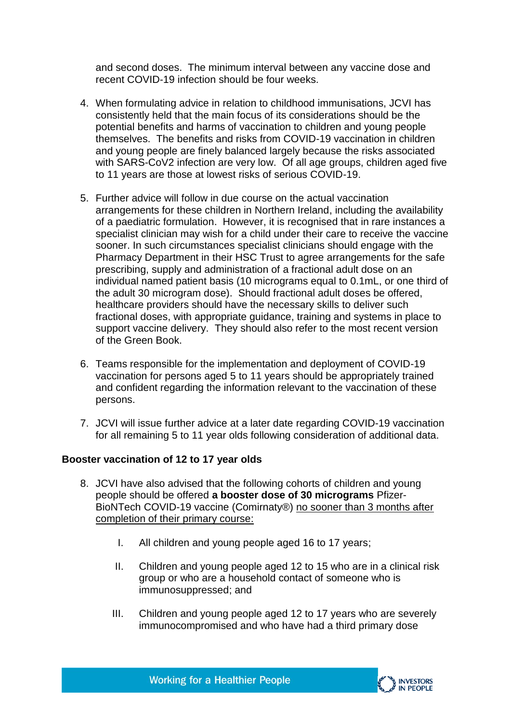and second doses. The minimum interval between any vaccine dose and recent COVID-19 infection should be four weeks.

- 4. When formulating advice in relation to childhood immunisations, JCVI has consistently held that the main focus of its considerations should be the potential benefits and harms of vaccination to children and young people themselves. The benefits and risks from COVID-19 vaccination in children and young people are finely balanced largely because the risks associated with SARS-CoV2 infection are very low. Of all age groups, children aged five to 11 years are those at lowest risks of serious COVID-19.
- 5. Further advice will follow in due course on the actual vaccination arrangements for these children in Northern Ireland, including the availability of a paediatric formulation. However, it is recognised that in rare instances a specialist clinician may wish for a child under their care to receive the vaccine sooner. In such circumstances specialist clinicians should engage with the Pharmacy Department in their HSC Trust to agree arrangements for the safe prescribing, supply and administration of a fractional adult dose on an individual named patient basis (10 micrograms equal to 0.1mL, or one third of the adult 30 microgram dose). Should fractional adult doses be offered, healthcare providers should have the necessary skills to deliver such fractional doses, with appropriate guidance, training and systems in place to support vaccine delivery. They should also refer to the most recent version of the Green Book.
- 6. Teams responsible for the implementation and deployment of COVID-19 vaccination for persons aged 5 to 11 years should be appropriately trained and confident regarding the information relevant to the vaccination of these persons.
- 7. JCVI will issue further advice at a later date regarding COVID-19 vaccination for all remaining 5 to 11 year olds following consideration of additional data.

#### **Booster vaccination of 12 to 17 year olds**

- 8. JCVI have also advised that the following cohorts of children and young people should be offered **a booster dose of 30 micrograms** Pfizer-BioNTech COVID-19 vaccine (Comirnaty®) no sooner than 3 months after completion of their primary course:
	- I. All children and young people aged 16 to 17 years;
	- II. Children and young people aged 12 to 15 who are in a clinical risk group or who are a household contact of someone who is immunosuppressed; and
	- III. Children and young people aged 12 to 17 years who are severely immunocompromised and who have had a third primary dose



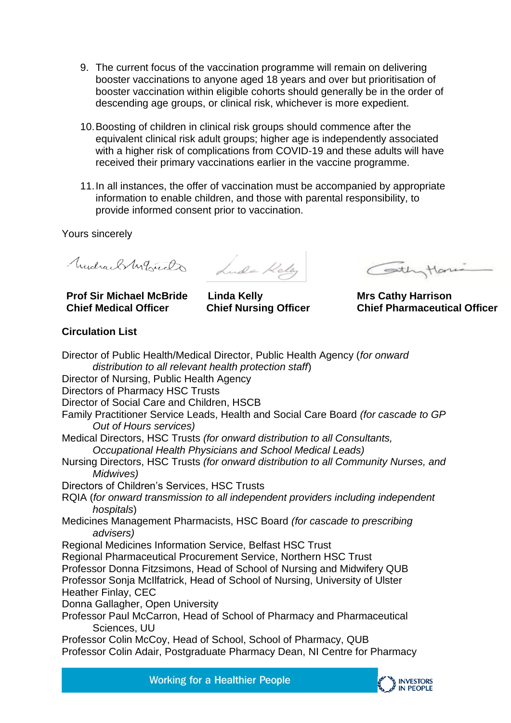- 9. The current focus of the vaccination programme will remain on delivering booster vaccinations to anyone aged 18 years and over but prioritisation of booster vaccination within eligible cohorts should generally be in the order of descending age groups, or clinical risk, whichever is more expedient.
- 10.Boosting of children in clinical risk groups should commence after the equivalent clinical risk adult groups; higher age is independently associated with a higher risk of complications from COVID-19 and these adults will have received their primary vaccinations earlier in the vaccine programme.
- 11.In all instances, the offer of vaccination must be accompanied by appropriate information to enable children, and those with parental responsibility, to provide informed consent prior to vaccination.

Yours sincerely

Mudrael Mercials Lude Kelly

**Prof Sir Michael McBride Chief Medical Officer**

**Linda Kelly Chief Nursing Officer** 

Cothy Ham

**Mrs Cathy Harrison Chief Pharmaceutical Officer**

#### **Circulation List**

Director of Public Health/Medical Director, Public Health Agency (*for onward distribution to all relevant health protection staff*) Director of Nursing, Public Health Agency Directors of Pharmacy HSC Trusts Director of Social Care and Children, HSCB Family Practitioner Service Leads, Health and Social Care Board *(for cascade to GP Out of Hours services)*  Medical Directors, HSC Trusts *(for onward distribution to all Consultants, Occupational Health Physicians and School Medical Leads)*  Nursing Directors, HSC Trusts *(for onward distribution to all Community Nurses, and Midwives)*  Directors of Children's Services, HSC Trusts RQIA (*for onward transmission to all independent providers including independent hospitals*) Medicines Management Pharmacists, HSC Board *(for cascade to prescribing advisers)*  Regional Medicines Information Service, Belfast HSC Trust Regional Pharmaceutical Procurement Service, Northern HSC Trust Professor Donna Fitzsimons, Head of School of Nursing and Midwifery QUB Professor Sonja McIlfatrick, Head of School of Nursing, University of Ulster Heather Finlay, CEC Donna Gallagher, Open University Professor Paul McCarron, Head of School of Pharmacy and Pharmaceutical Sciences, UU Professor Colin McCoy, Head of School, School of Pharmacy, QUB Professor Colin Adair, Postgraduate Pharmacy Dean, NI Centre for Pharmacy